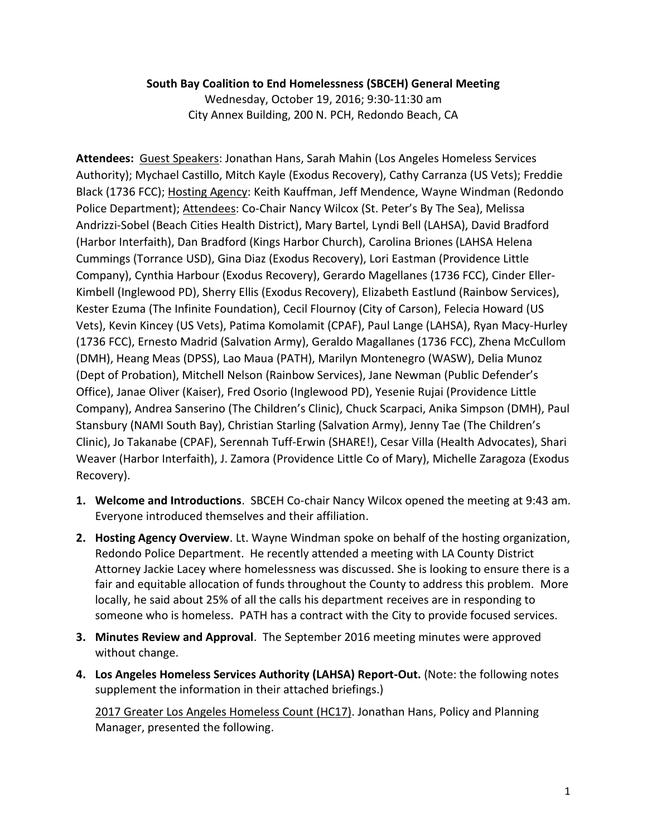## **South Bay Coalition to End Homelessness (SBCEH) General Meeting**

Wednesday, October 19, 2016; 9:30-11:30 am City Annex Building, 200 N. PCH, Redondo Beach, CA

**Attendees:** Guest Speakers: Jonathan Hans, Sarah Mahin (Los Angeles Homeless Services Authority); Mychael Castillo, Mitch Kayle (Exodus Recovery), Cathy Carranza (US Vets); Freddie Black (1736 FCC); Hosting Agency: Keith Kauffman, Jeff Mendence, Wayne Windman (Redondo Police Department); Attendees: Co-Chair Nancy Wilcox (St. Peter's By The Sea), Melissa Andrizzi-Sobel (Beach Cities Health District), Mary Bartel, Lyndi Bell (LAHSA), David Bradford (Harbor Interfaith), Dan Bradford (Kings Harbor Church), Carolina Briones (LAHSA Helena Cummings (Torrance USD), Gina Diaz (Exodus Recovery), Lori Eastman (Providence Little Company), Cynthia Harbour (Exodus Recovery), Gerardo Magellanes (1736 FCC), Cinder Eller-Kimbell (Inglewood PD), Sherry Ellis (Exodus Recovery), Elizabeth Eastlund (Rainbow Services), Kester Ezuma (The Infinite Foundation), Cecil Flournoy (City of Carson), Felecia Howard (US Vets), Kevin Kincey (US Vets), Patima Komolamit (CPAF), Paul Lange (LAHSA), Ryan Macy-Hurley (1736 FCC), Ernesto Madrid (Salvation Army), Geraldo Magallanes (1736 FCC), Zhena McCullom (DMH), Heang Meas (DPSS), Lao Maua (PATH), Marilyn Montenegro (WASW), Delia Munoz (Dept of Probation), Mitchell Nelson (Rainbow Services), Jane Newman (Public Defender's Office), Janae Oliver (Kaiser), Fred Osorio (Inglewood PD), Yesenie Rujai (Providence Little Company), Andrea Sanserino (The Children's Clinic), Chuck Scarpaci, Anika Simpson (DMH), Paul Stansbury (NAMI South Bay), Christian Starling (Salvation Army), Jenny Tae (The Children's Clinic), Jo Takanabe (CPAF), Serennah Tuff-Erwin (SHARE!), Cesar Villa (Health Advocates), Shari Weaver (Harbor Interfaith), J. Zamora (Providence Little Co of Mary), Michelle Zaragoza (Exodus Recovery).

- **1. Welcome and Introductions**. SBCEH Co-chair Nancy Wilcox opened the meeting at 9:43 am. Everyone introduced themselves and their affiliation.
- **2. Hosting Agency Overview**. Lt. Wayne Windman spoke on behalf of the hosting organization, Redondo Police Department. He recently attended a meeting with LA County District Attorney Jackie Lacey where homelessness was discussed. She is looking to ensure there is a fair and equitable allocation of funds throughout the County to address this problem. More locally, he said about 25% of all the calls his department receives are in responding to someone who is homeless. PATH has a contract with the City to provide focused services.
- **3. Minutes Review and Approval**. The September 2016 meeting minutes were approved without change.
- **4. Los Angeles Homeless Services Authority (LAHSA) Report-Out.** (Note: the following notes supplement the information in their attached briefings.)

2017 Greater Los Angeles Homeless Count (HC17). Jonathan Hans, Policy and Planning Manager, presented the following.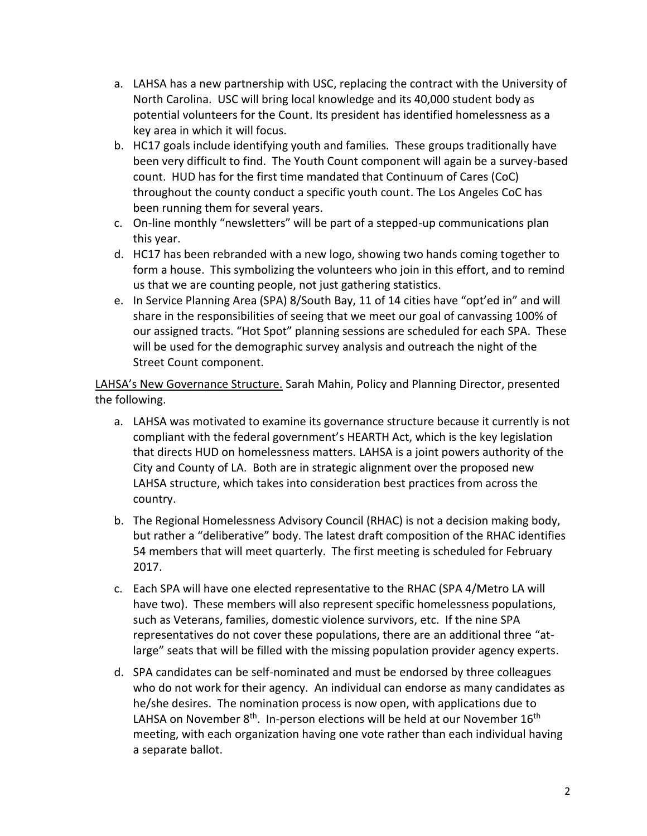- a. LAHSA has a new partnership with USC, replacing the contract with the University of North Carolina. USC will bring local knowledge and its 40,000 student body as potential volunteers for the Count. Its president has identified homelessness as a key area in which it will focus.
- b. HC17 goals include identifying youth and families. These groups traditionally have been very difficult to find. The Youth Count component will again be a survey-based count. HUD has for the first time mandated that Continuum of Cares (CoC) throughout the county conduct a specific youth count. The Los Angeles CoC has been running them for several years.
- c. On-line monthly "newsletters" will be part of a stepped-up communications plan this year.
- d. HC17 has been rebranded with a new logo, showing two hands coming together to form a house. This symbolizing the volunteers who join in this effort, and to remind us that we are counting people, not just gathering statistics.
- e. In Service Planning Area (SPA) 8/South Bay, 11 of 14 cities have "opt'ed in" and will share in the responsibilities of seeing that we meet our goal of canvassing 100% of our assigned tracts. "Hot Spot" planning sessions are scheduled for each SPA. These will be used for the demographic survey analysis and outreach the night of the Street Count component.

LAHSA's New Governance Structure. Sarah Mahin, Policy and Planning Director, presented the following.

- a. LAHSA was motivated to examine its governance structure because it currently is not compliant with the federal government's HEARTH Act, which is the key legislation that directs HUD on homelessness matters. LAHSA is a joint powers authority of the City and County of LA. Both are in strategic alignment over the proposed new LAHSA structure, which takes into consideration best practices from across the country.
- b. The Regional Homelessness Advisory Council (RHAC) is not a decision making body, but rather a "deliberative" body. The latest draft composition of the RHAC identifies 54 members that will meet quarterly. The first meeting is scheduled for February 2017.
- c. Each SPA will have one elected representative to the RHAC (SPA 4/Metro LA will have two). These members will also represent specific homelessness populations, such as Veterans, families, domestic violence survivors, etc. If the nine SPA representatives do not cover these populations, there are an additional three "atlarge" seats that will be filled with the missing population provider agency experts.
- d. SPA candidates can be self-nominated and must be endorsed by three colleagues who do not work for their agency. An individual can endorse as many candidates as he/she desires. The nomination process is now open, with applications due to LAHSA on November 8<sup>th</sup>. In-person elections will be held at our November 16<sup>th</sup> meeting, with each organization having one vote rather than each individual having a separate ballot.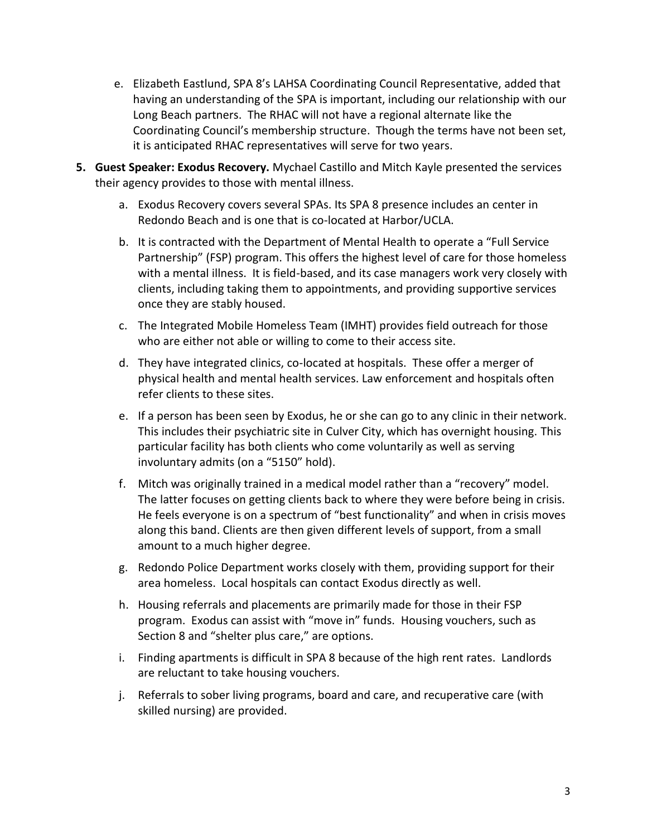- e. Elizabeth Eastlund, SPA 8's LAHSA Coordinating Council Representative, added that having an understanding of the SPA is important, including our relationship with our Long Beach partners. The RHAC will not have a regional alternate like the Coordinating Council's membership structure. Though the terms have not been set, it is anticipated RHAC representatives will serve for two years.
- **5. Guest Speaker: Exodus Recovery.** Mychael Castillo and Mitch Kayle presented the services their agency provides to those with mental illness.
	- a. Exodus Recovery covers several SPAs. Its SPA 8 presence includes an center in Redondo Beach and is one that is co-located at Harbor/UCLA.
	- b. It is contracted with the Department of Mental Health to operate a "Full Service Partnership" (FSP) program. This offers the highest level of care for those homeless with a mental illness. It is field-based, and its case managers work very closely with clients, including taking them to appointments, and providing supportive services once they are stably housed.
	- c. The Integrated Mobile Homeless Team (IMHT) provides field outreach for those who are either not able or willing to come to their access site.
	- d. They have integrated clinics, co-located at hospitals. These offer a merger of physical health and mental health services. Law enforcement and hospitals often refer clients to these sites.
	- e. If a person has been seen by Exodus, he or she can go to any clinic in their network. This includes their psychiatric site in Culver City, which has overnight housing. This particular facility has both clients who come voluntarily as well as serving involuntary admits (on a "5150" hold).
	- f. Mitch was originally trained in a medical model rather than a "recovery" model. The latter focuses on getting clients back to where they were before being in crisis. He feels everyone is on a spectrum of "best functionality" and when in crisis moves along this band. Clients are then given different levels of support, from a small amount to a much higher degree.
	- g. Redondo Police Department works closely with them, providing support for their area homeless. Local hospitals can contact Exodus directly as well.
	- h. Housing referrals and placements are primarily made for those in their FSP program. Exodus can assist with "move in" funds. Housing vouchers, such as Section 8 and "shelter plus care," are options.
	- i. Finding apartments is difficult in SPA 8 because of the high rent rates. Landlords are reluctant to take housing vouchers.
	- j. Referrals to sober living programs, board and care, and recuperative care (with skilled nursing) are provided.